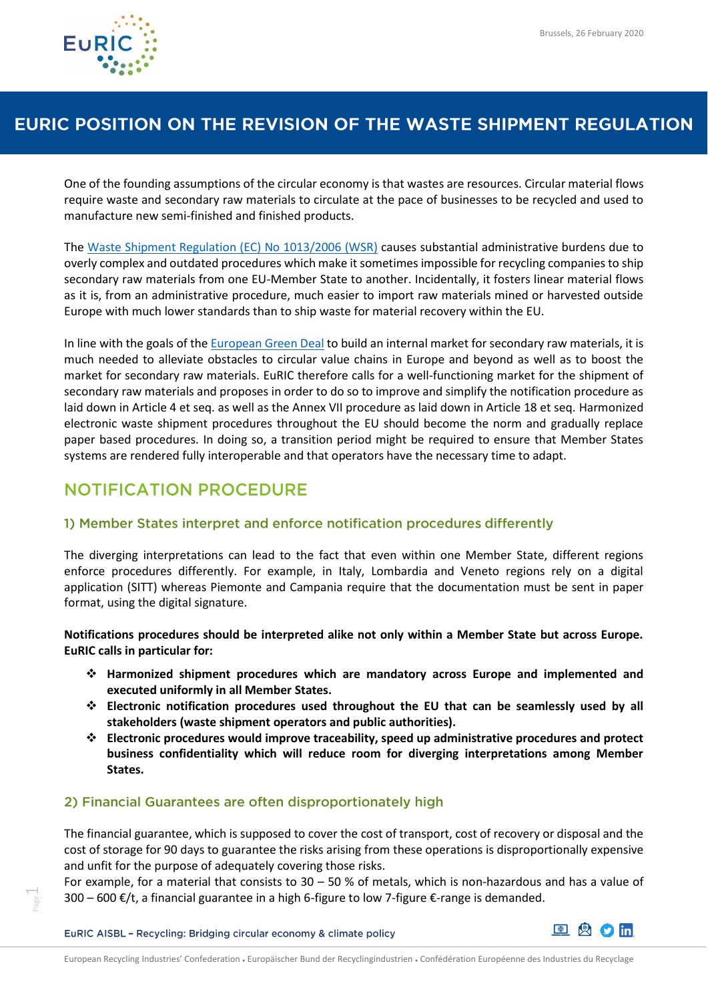

## EURIC POSITION ON THE REVISION OF THE WASTE SHIPMENT REGULATION

One of the founding assumptions of the circular economy is that wastes are resources. Circular material flows require waste and secondary raw materials to circulate at the pace of businesses to be recycled and used to manufacture new semi-finished and finished products.

The [Waste Shipment Regulation \(EC\) No 1013/2006 \(WSR\)](https://eur-lex.europa.eu/legal-content/EN/TXT/?qid=1582707210254&uri=CELEX:32006R1013) causes substantial administrative burdens due to overly complex and outdated procedures which make it sometimes impossible for recycling companies to ship secondary raw materials from one EU-Member State to another. Incidentally, it fosters linear material flows as it is, from an administrative procedure, much easier to import raw materials mined or harvested outside Europe with much lower standards than to ship waste for material recovery within the EU.

In line with the goals of the [European Green Deal](https://ec.europa.eu/info/sites/info/files/european-green-deal-communication_en.pdf) to build an internal market for secondary raw materials, it is much needed to alleviate obstacles to circular value chains in Europe and beyond as well as to boost the market for secondary raw materials. EuRIC therefore calls for a well-functioning market for the shipment of secondary raw materials and proposes in order to do so to improve and simplify the notification procedure as laid down in Article 4 et seq. as well as the Annex VII procedure as laid down in Article 18 et seq. Harmonized electronic waste shipment procedures throughout the EU should become the norm and gradually replace paper based procedures. In doing so, a transition period might be required to ensure that Member States systems are rendered fully interoperable and that operators have the necessary time to adapt.

## **NOTIFICATION PROCEDURE**

### 1) Member States interpret and enforce notification procedures differently

The diverging interpretations can lead to the fact that even within one Member State, different regions enforce procedures differently. For example, in Italy, Lombardia and Veneto regions rely on a digital application (SITT) whereas Piemonte and Campania require that the documentation must be sent in paper format, using the digital signature.

**Notifications procedures should be interpreted alike not only within a Member State but across Europe. EuRIC calls in particular for:**

- ❖ **Harmonized shipment procedures which are mandatory across Europe and implemented and executed uniformly in all Member States.**
- ❖ **Electronic notification procedures used throughout the EU that can be seamlessly used by all stakeholders (waste shipment operators and public authorities).**
- ❖ **Electronic procedures would improve traceability, speed up administrative procedures and protect business confidentiality which will reduce room for diverging interpretations among Member States.**

### 2) Financial Guarantees are often disproportionately high

The financial guarantee, which is supposed to cover the cost of transport, cost of recovery or disposal and the cost of storage for 90 days to guarantee the risks arising from these operations is disproportionally expensive and unfit for the purpose of adequately covering those risks.

For example, for a material that consists to 30 – 50 % of metals, which is non-hazardous and has a value of 300 – 600 €/t, a financial guarantee in a high 6-figure to low 7-figure  $\epsilon$ -range is demanded.

EuRIC AISBL - Recycling: Bridging circular economy & climate policy

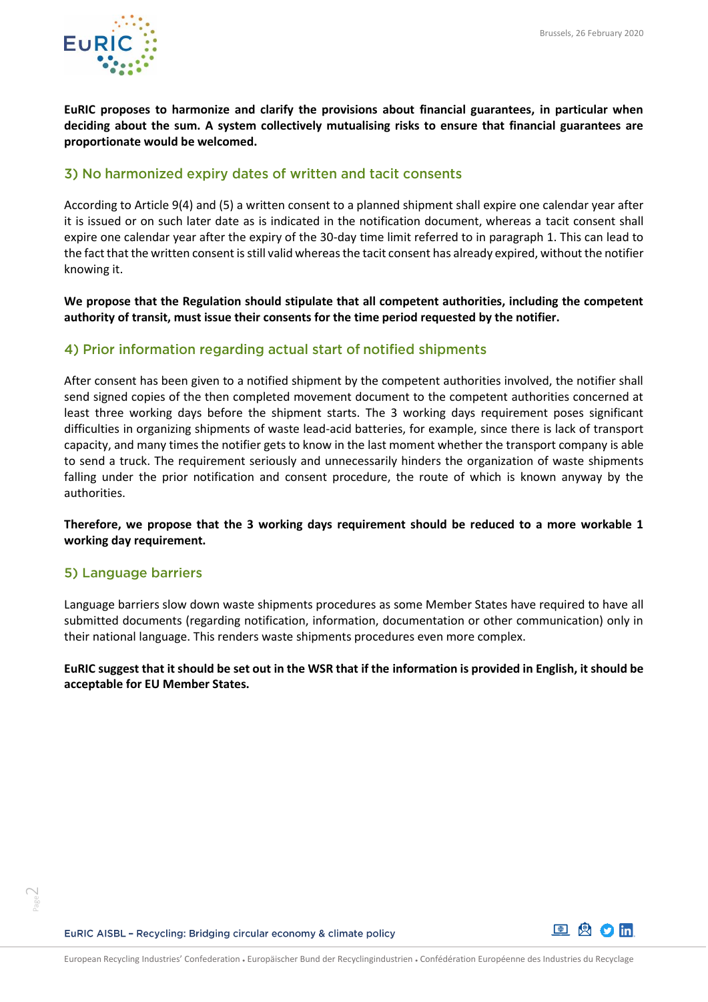

**EuRIC proposes to harmonize and clarify the provisions about financial guarantees, in particular when deciding about the sum. A system collectively mutualising risks to ensure that financial guarantees are proportionate would be welcomed.** 

### 3) No harmonized expiry dates of written and tacit consents

According to Article 9(4) and (5) a written consent to a planned shipment shall expire one calendar year after it is issued or on such later date as is indicated in the notification document, whereas a tacit consent shall expire one calendar year after the expiry of the 30-day time limit referred to in paragraph 1. This can lead to the fact that the written consent is still valid whereas the tacit consent has already expired, without the notifier knowing it.

**We propose that the Regulation should stipulate that all competent authorities, including the competent authority of transit, must issue their consents for the time period requested by the notifier.**

### 4) Prior information regarding actual start of notified shipments

After consent has been given to a notified shipment by the competent authorities involved, the notifier shall send signed copies of the then completed movement document to the competent authorities concerned at least three working days before the shipment starts. The 3 working days requirement poses significant difficulties in organizing shipments of waste lead-acid batteries, for example, since there is lack of transport capacity, and many times the notifier gets to know in the last moment whether the transport company is able to send a truck. The requirement seriously and unnecessarily hinders the organization of waste shipments falling under the prior notification and consent procedure, the route of which is known anyway by the authorities.

**Therefore, we propose that the 3 working days requirement should be reduced to a more workable 1 working day requirement.**

#### 5) Language barriers

Language barriers slow down waste shipments procedures as some Member States have required to have all submitted documents (regarding notification, information, documentation or other communication) only in their national language. This renders waste shipments procedures even more complex.

**EuRIC suggest that it should be set out in the WSR that if the information is provided in English, it should be acceptable for EU Member States.**

EuRIC AISBL - Recycling: Bridging circular economy & climate policy

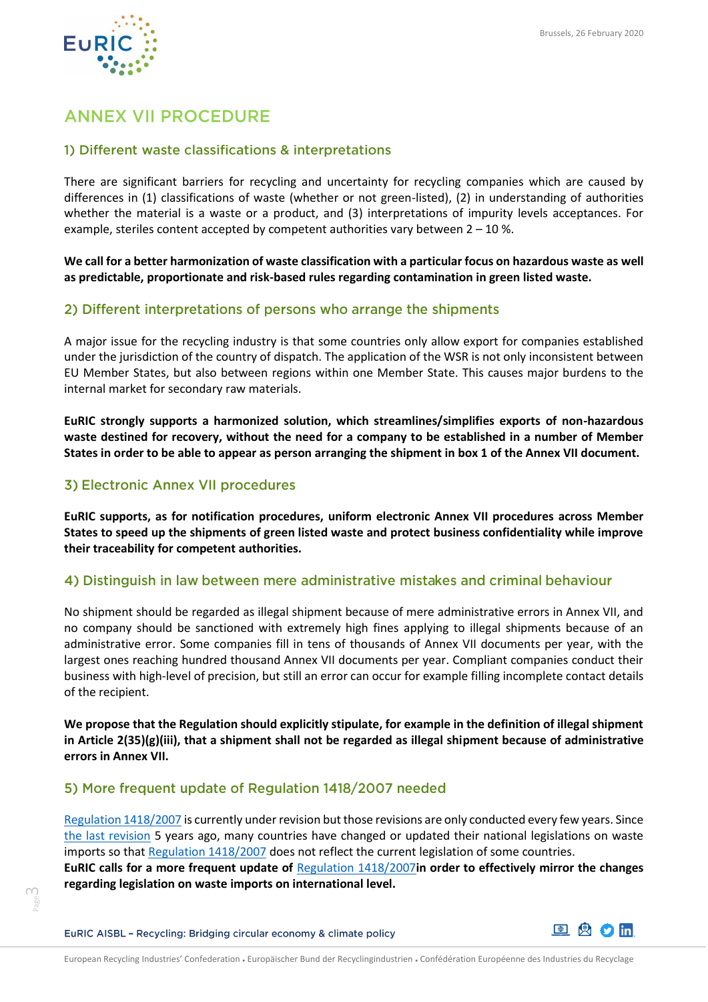

# **ANNEX VII PROCEDURE**

### 1) Different waste classifications & interpretations

There are significant barriers for recycling and uncertainty for recycling companies which are caused by differences in (1) classifications of waste (whether or not green-listed), (2) in understanding of authorities whether the material is a waste or a product, and (3) interpretations of impurity levels acceptances. For example, steriles content accepted by competent authorities vary between 2 – 10 %.

**We call for a better harmonization of waste classification with a particular focus on hazardous waste as well as predictable, proportionate and risk-based rules regarding contamination in green listed waste.** 

### 2) Different interpretations of persons who arrange the shipments

A major issue for the recycling industry is that some countries only allow export for companies established under the jurisdiction of the country of dispatch. The application of the WSR is not only inconsistent between EU Member States, but also between regions within one Member State. This causes major burdens to the internal market for secondary raw materials.

**EuRIC strongly supports a harmonized solution, which streamlines/simplifies exports of non-hazardous waste destined for recovery, without the need for a company to be established in a number of Member States in order to be able to appear as person arranging the shipment in box 1 of the Annex VII document.**

### 3) Electronic Annex VII procedures

**EuRIC supports, as for notification procedures, uniform electronic Annex VII procedures across Member States to speed up the shipments of green listed waste and protect business confidentiality while improve their traceability for competent authorities.** 

### 4) Distinguish in law between mere administrative mistakes and criminal behaviour

No shipment should be regarded as illegal shipment because of mere administrative errors in Annex VII, and no company should be sanctioned with extremely high fines applying to illegal shipments because of an administrative error. Some companies fill in tens of thousands of Annex VII documents per year, with the largest ones reaching hundred thousand Annex VII documents per year. Compliant companies conduct their business with high-level of precision, but still an error can occur for example filling incomplete contact details of the recipient.

**We propose that the Regulation should explicitly stipulate, for example in the definition of illegal shipment in Article 2(35)(g)(iii), that a shipment shall not be regarded as illegal shipment because of administrative errors in Annex VII.**

### 5) More frequent update of Requiation 1418/2007 needed

[Regulation 1418/2007](https://eur-lex.europa.eu/legal-content/en/ALL/?uri=CELEX%3A32007R1418) is currently under revision but those revisions are only conducted every few years. Since [the last revision](https://eur-lex.europa.eu/legal-content/EN/TXT/?uri=CELEX:02007R1418-20140718) 5 years ago, many countries have changed or updated their national legislations on waste imports so tha[t Regulation 1418/2007](https://eur-lex.europa.eu/legal-content/en/ALL/?uri=CELEX%3A32007R1418) does not reflect the current legislation of some countries. **EuRIC calls for a more frequent update of** [Regulation 1418/2007](https://eur-lex.europa.eu/legal-content/en/ALL/?uri=CELEX%3A32007R1418)**in order to effectively mirror the changes regarding legislation on waste imports on international level.** 

EuRIC AISBL - Recycling: Bridging circular economy & climate policy